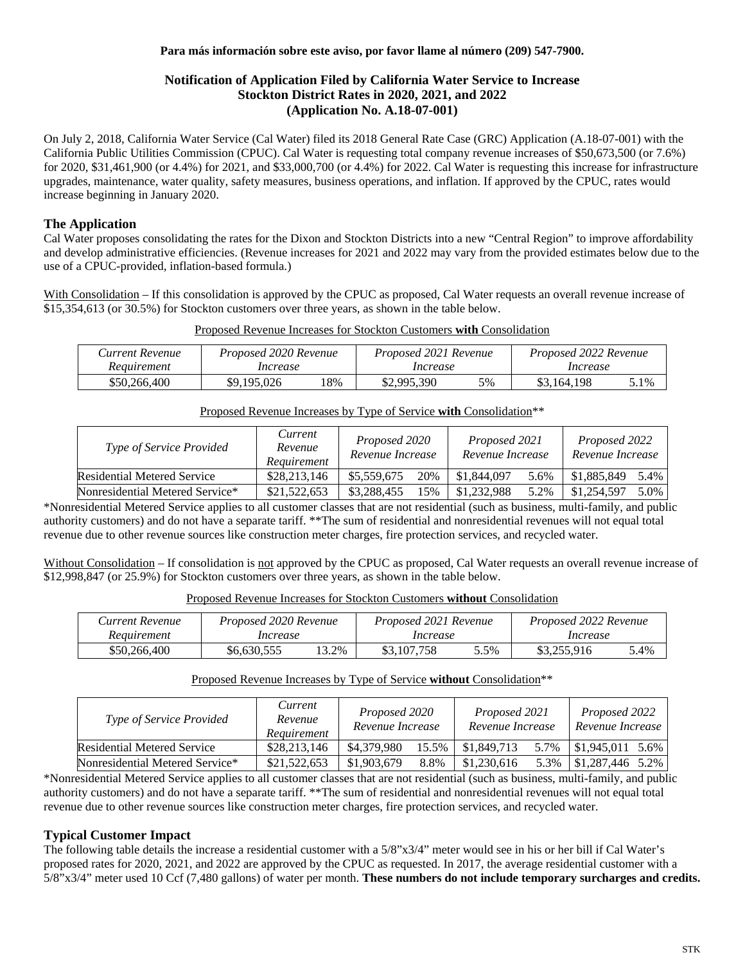#### **Para más información sobre este aviso, por favor llame al número (209) 547-7900.**

#### **Notification of Application Filed by California Water Service to Increase Stockton District Rates in 2020, 2021, and 2022 (Application No. A.18-07-001)**

On July 2, 2018, California Water Service (Cal Water) filed its 2018 General Rate Case (GRC) Application (A.18-07-001) with the California Public Utilities Commission (CPUC). Cal Water is requesting total company revenue increases of \$50,673,500 (or 7.6%) for 2020, \$31,461,900 (or 4.4%) for 2021, and \$33,000,700 (or 4.4%) for 2022. Cal Water is requesting this increase for infrastructure upgrades, maintenance, water quality, safety measures, business operations, and inflation. If approved by the CPUC, rates would increase beginning in January 2020.

## **The Application**

Cal Water proposes consolidating the rates for the Dixon and Stockton Districts into a new "Central Region" to improve affordability and develop administrative efficiencies. (Revenue increases for 2021 and 2022 may vary from the provided estimates below due to the use of a CPUC-provided, inflation-based formula.)

With Consolidation – If this consolidation is approved by the CPUC as proposed, Cal Water requests an overall revenue increase of \$15,354,613 (or 30.5%) for Stockton customers over three years, as shown in the table below.

| Current Revenue | Proposed 2020 Revenue | Proposed 2021 Revenue | Proposed 2022 Revenue |
|-----------------|-----------------------|-----------------------|-----------------------|
| Requirement     | Increase              | Increase              | Increase              |

### Proposed Revenue Increases for Stockton Customers **with** Consolidation

#### Proposed Revenue Increases by Type of Service **with** Consolidation\*\*

\$50,266,400 | \$9,195,026 18% | \$2,995,390 5% | \$3,164,198 5.1%

| Type of Service Provided           | Current<br>Revenue<br>Requirement | Proposed 2020<br>Revenue Increase |     | Proposed 2021<br>Revenue Increase |      | Proposed 2022<br>Revenue Increase |      |
|------------------------------------|-----------------------------------|-----------------------------------|-----|-----------------------------------|------|-----------------------------------|------|
| <b>Residential Metered Service</b> | \$28,213,146                      | \$5,559,675                       | 20% | \$1,844,097                       | 5.6% | \$1,885,849                       | 5.4% |
| Nonresidential Metered Service*    | \$21,522,653                      | \$3,288,455                       | 15% | \$1,232,988                       | 5.2% | \$1,254,597                       | 5.0% |

\*Nonresidential Metered Service applies to all customer classes that are not residential (such as business, multi-family, and public authority customers) and do not have a separate tariff. \*\*The sum of residential and nonresidential revenues will not equal total revenue due to other revenue sources like construction meter charges, fire protection services, and recycled water.

Without Consolidation – If consolidation is not approved by the CPUC as proposed, Cal Water requests an overall revenue increase of \$12,998,847 (or 25.9%) for Stockton customers over three years, as shown in the table below.

| Proposed Revenue Increases for Stockton Customers without Consolidation |
|-------------------------------------------------------------------------|
|-------------------------------------------------------------------------|

| Current Revenue | Proposed 2020 Revenue |       | Proposed 2021 Revenue |         | Proposed 2022 Revenue |      |  |
|-----------------|-----------------------|-------|-----------------------|---------|-----------------------|------|--|
| Requirement     | Increase              |       | Increase              |         | Increase              |      |  |
| \$50.266.400    | \$6,630,555           | 13.2% | \$3,107,758           | $5.5\%$ | \$3,255,916           | 5.4% |  |

#### Proposed Revenue Increases by Type of Service **without** Consolidation\*\*

| <i>Type of Service Provided</i>    | Current<br>Revenue<br>Requirement | Proposed 2020<br>Revenue Increase |       | Proposed 2021<br>Revenue Increase |      | Proposed 2022<br>Revenue Increase |      |
|------------------------------------|-----------------------------------|-----------------------------------|-------|-----------------------------------|------|-----------------------------------|------|
| <b>Residential Metered Service</b> | \$28,213,146                      | \$4,379,980                       | 15.5% | \$1,849,713                       | 5.7% | \$1,945,011                       | 5.6% |
| Nonresidential Metered Service*    | \$21,522,653                      | \$1,903,679                       | 8.8%  | \$1,230,616                       | 5.3% | \$1,287,446                       | 5.2% |

\*Nonresidential Metered Service applies to all customer classes that are not residential (such as business, multi-family, and public authority customers) and do not have a separate tariff. \*\*The sum of residential and nonresidential revenues will not equal total revenue due to other revenue sources like construction meter charges, fire protection services, and recycled water.

#### **Typical Customer Impact**

The following table details the increase a residential customer with a 5/8"x3/4" meter would see in his or her bill if Cal Water's proposed rates for 2020, 2021, and 2022 are approved by the CPUC as requested. In 2017, the average residential customer with a 5/8"x3/4" meter used 10 Ccf (7,480 gallons) of water per month. **These numbers do not include temporary surcharges and credits.**